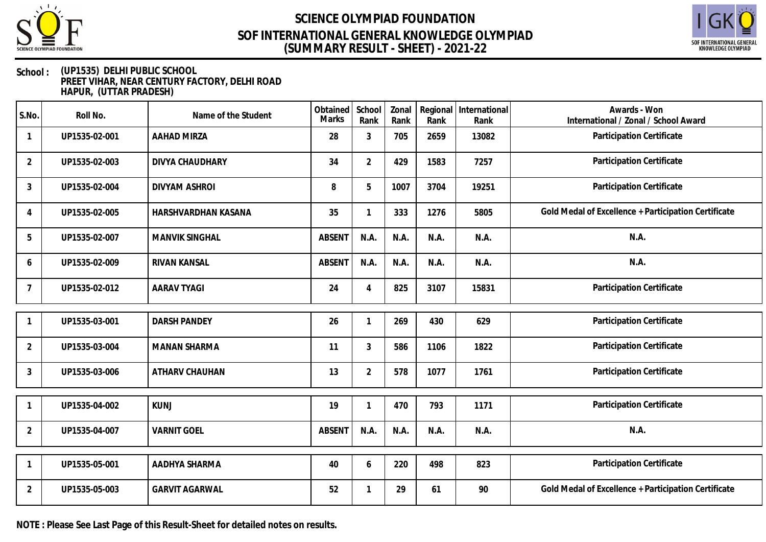



### **School : (UP1535) DELHI PUBLIC SCHOOL PREET VIHAR, NEAR CENTURY FACTORY, DELHI ROAD HAPUR, (UTTAR PRADESH)**

| S.No.          | Roll No.      | Name of the Student   | Obtained<br><b>Marks</b> | School<br>Rank | Zonal<br>Rank | Rank | Regional International<br>Rank | Awards - Won<br>International / Zonal / School Award |
|----------------|---------------|-----------------------|--------------------------|----------------|---------------|------|--------------------------------|------------------------------------------------------|
| -1             | UP1535-02-001 | <b>AAHAD MIRZA</b>    | 28                       | 3              | 705           | 2659 | 13082                          | Participation Certificate                            |
| $\overline{2}$ | UP1535-02-003 | DIVYA CHAUDHARY       | 34                       | $\overline{2}$ | 429           | 1583 | 7257                           | Participation Certificate                            |
| 3              | UP1535-02-004 | <b>DIVYAM ASHROI</b>  | 8                        | 5              | 1007          | 3704 | 19251                          | Participation Certificate                            |
| $\overline{4}$ | UP1535-02-005 | HARSHVARDHAN KASANA   | 35                       |                | 333           | 1276 | 5805                           | Gold Medal of Excellence + Participation Certificate |
| 5              | UP1535-02-007 | <b>MANVIK SINGHAL</b> | <b>ABSENT</b>            | N.A.           | N.A.          | N.A. | N.A.                           | N.A.                                                 |
| 6              | UP1535-02-009 | RIVAN KANSAL          | <b>ABSENT</b>            | N.A.           | N.A.          | N.A. | N.A.                           | N.A.                                                 |
| $\overline{7}$ | UP1535-02-012 | <b>AARAV TYAGI</b>    | 24                       | 4              | 825           | 3107 | 15831                          | Participation Certificate                            |
|                |               |                       |                          |                |               |      |                                |                                                      |
|                | UP1535-03-001 | <b>DARSH PANDEY</b>   | 26                       | 1              | 269           | 430  | 629                            | Participation Certificate                            |
| $\overline{2}$ | UP1535-03-004 | <b>MANAN SHARMA</b>   | 11                       | 3              | 586           | 1106 | 1822                           | Participation Certificate                            |
| 3              | UP1535-03-006 | ATHARV CHAUHAN        | 13                       | $\overline{2}$ | 578           | 1077 | 1761                           | Participation Certificate                            |
|                | UP1535-04-002 | <b>KUNJ</b>           | 19                       |                | 470           | 793  | 1171                           | Participation Certificate                            |
|                |               |                       |                          |                |               |      |                                |                                                      |
| $\overline{2}$ | UP1535-04-007 | <b>VARNIT GOEL</b>    | ABSENT                   | N.A.           | N.A.          | N.A. | N.A.                           | N.A.                                                 |
|                |               |                       |                          |                |               |      |                                |                                                      |
|                | UP1535-05-001 | AADHYA SHARMA         | 40                       | 6              | 220           | 498  | 823                            | Participation Certificate                            |
| $\overline{2}$ | UP1535-05-003 | <b>GARVIT AGARWAL</b> | 52                       |                | 29            | 61   | 90                             | Gold Medal of Excellence + Participation Certificate |

**NOTE : Please See Last Page of this Result-Sheet for detailed notes on results.**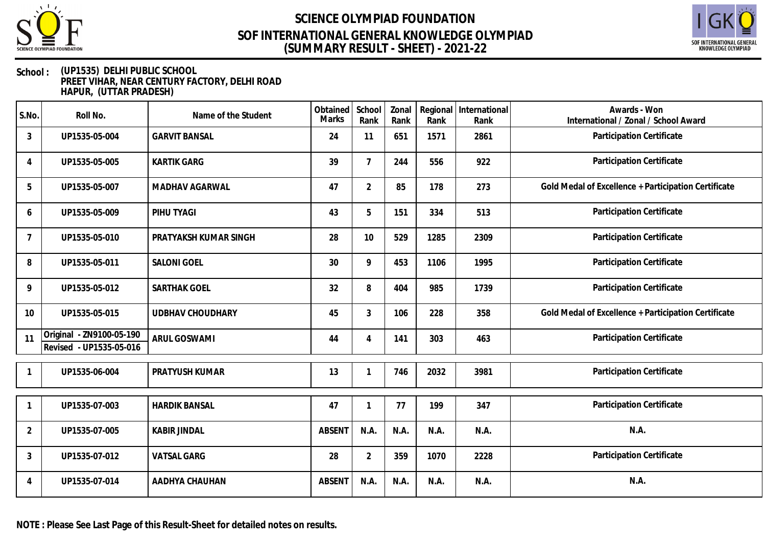



### **School : (UP1535) DELHI PUBLIC SCHOOL PREET VIHAR, NEAR CENTURY FACTORY, DELHI ROAD HAPUR, (UTTAR PRADESH)**

| S.No.          | Roll No.                                            | Name of the Student     | Obtained<br><b>Marks</b> | School<br>Rank | Zonal<br>Rank | Rank | Regional International<br>Rank | Awards - Won<br>International / Zonal / School Award |
|----------------|-----------------------------------------------------|-------------------------|--------------------------|----------------|---------------|------|--------------------------------|------------------------------------------------------|
| 3              | UP1535-05-004                                       | <b>GARVIT BANSAL</b>    | 24                       | 11             | 651           | 1571 | 2861                           | Participation Certificate                            |
| 4              | UP1535-05-005                                       | <b>KARTIK GARG</b>      | 39                       | $\overline{7}$ | 244           | 556  | 922                            | Participation Certificate                            |
| 5              | UP1535-05-007                                       | MADHAV AGARWAL          | 47                       | $\overline{2}$ | 85            | 178  | 273                            | Gold Medal of Excellence + Participation Certificate |
| 6              | UP1535-05-009                                       | PIHU TYAGI              | 43                       | 5              | 151           | 334  | 513                            | Participation Certificate                            |
| $\overline{7}$ | UP1535-05-010                                       | PRATYAKSH KUMAR SINGH   | 28                       | 10             | 529           | 1285 | 2309                           | Participation Certificate                            |
| 8              | UP1535-05-011                                       | <b>SALONI GOEL</b>      | 30                       | 9              | 453           | 1106 | 1995                           | Participation Certificate                            |
| 9              | UP1535-05-012                                       | SARTHAK GOEL            | 32                       | 8              | 404           | 985  | 1739                           | Participation Certificate                            |
| 10             | UP1535-05-015                                       | <b>UDBHAV CHOUDHARY</b> | 45                       | 3              | 106           | 228  | 358                            | Gold Medal of Excellence + Participation Certificate |
| 11             | Original - ZN9100-05-190<br>Revised - UP1535-05-016 | ARUL GOSWAMI            | 44                       | 4              | 141           | 303  | 463                            | Participation Certificate                            |
|                | UP1535-06-004                                       | <b>PRATYUSH KUMAR</b>   | 13                       |                | 746           | 2032 | 3981                           | Participation Certificate                            |
| 1              | UP1535-07-003                                       | <b>HARDIK BANSAL</b>    | 47                       |                | 77            | 199  | 347                            | Participation Certificate                            |
| $\overline{2}$ | UP1535-07-005                                       | <b>KABIR JINDAL</b>     | <b>ABSENT</b>            | N.A.           | N.A.          | N.A. | N.A.                           | N.A.                                                 |
| 3              | UP1535-07-012                                       | <b>VATSAL GARG</b>      | 28                       | $\overline{2}$ | 359           | 1070 | 2228                           | Participation Certificate                            |
| 4              | UP1535-07-014                                       | AADHYA CHAUHAN          | <b>ABSENT</b>            | N.A.           | N.A.          | N.A. | N.A.                           | N.A.                                                 |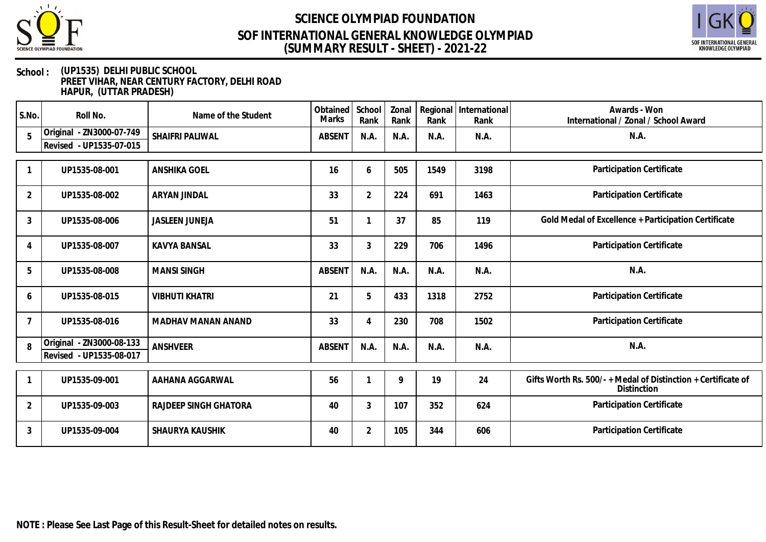



### **School : (UP1535) DELHI PUBLIC SCHOOL PREET VIHAR, NEAR CENTURY FACTORY, DELHI ROAD HAPUR, (UTTAR PRADESH)**

| S.No.          | Roll No.                                            | Name of the Student    | Obtained<br>Marks | School<br>Rank | Zonal<br>Rank | Regional<br>Rank | International<br>Rank | Awards - Won<br>International / Zonal / School Award                              |
|----------------|-----------------------------------------------------|------------------------|-------------------|----------------|---------------|------------------|-----------------------|-----------------------------------------------------------------------------------|
| 5              | Original - ZN3000-07-749<br>Revised - UP1535-07-015 | SHAIFRI PALIWAL        | <b>ABSENT</b>     | N.A.           | N.A.          | N.A.             | N.A.                  | N.A.                                                                              |
|                |                                                     |                        |                   |                |               |                  |                       |                                                                                   |
|                | UP1535-08-001                                       | <b>ANSHIKA GOEL</b>    | 16                | 6              | 505           | 1549             | 3198                  | Participation Certificate                                                         |
| $\overline{2}$ | UP1535-08-002                                       | ARYAN JINDAL           | 33                | 2              | 224           | 691              | 1463                  | Participation Certificate                                                         |
| 3              | UP1535-08-006                                       | <b>JASLEEN JUNEJA</b>  | 51                |                | 37            | 85               | 119                   | Gold Medal of Excellence + Participation Certificate                              |
| 4              | UP1535-08-007                                       | <b>KAVYA BANSAL</b>    | 33                | 3              | 229           | 706              | 1496                  | Participation Certificate                                                         |
| 5              | UP1535-08-008                                       | <b>MANSI SINGH</b>     | <b>ABSENT</b>     | N.A.           | N.A.          | N.A.             | N.A.                  | N.A.                                                                              |
| 6              | UP1535-08-015                                       | <b>VIBHUTI KHATRI</b>  | 21                | 5              | 433           | 1318             | 2752                  | Participation Certificate                                                         |
| $\overline{7}$ | UP1535-08-016                                       | MADHAV MANAN ANAND     | 33                | 4              | 230           | 708              | 1502                  | Participation Certificate                                                         |
| $\mathsf{R}$   | Original - ZN3000-08-133<br>Revised - UP1535-08-017 | ANSHVEER               | <b>ABSENT</b>     | N.A.           | N.A           | N.A.             | N.A.                  | N.A.                                                                              |
|                |                                                     |                        |                   |                |               |                  |                       |                                                                                   |
|                | UP1535-09-001                                       | AAHANA AGGARWAL        | 56                |                | 9             | 19               | 24                    | Gifts Worth Rs. 500/-+Medal of Distinction + Certificate of<br><b>Distinction</b> |
| $\overline{2}$ | UP1535-09-003                                       | RAJDEEP SINGH GHATORA  | 40                | 3              | 107           | 352              | 624                   | Participation Certificate                                                         |
| 3              | UP1535-09-004                                       | <b>SHAURYA KAUSHIK</b> | 40                | 2              | 105           | 344              | 606                   | Participation Certificate                                                         |